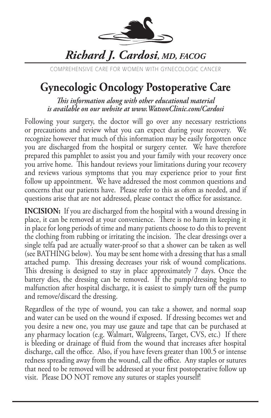

## *Richard J. Cardosi, MD, FACOG*

COMPREHENSIVE CARE FOR WOMEN WITH GYNECOLOGIC CANCER

## **Gynecologic Oncology Postoperative Care**

*This information along with other educational material is available on our website at www.WatsonClinic.com/Cardosi*

Following your surgery, the doctor will go over any necessary restrictions or precautions and review what you can expect during your recovery. We recognize however that much of this information may be easily forgotten once you are discharged from the hospital or surgery center. We have therefore prepared this pamphlet to assist you and your family with your recovery once you arrive home. This handout reviews your limitations during your recovery and reviews various symptoms that you may experience prior to your first follow up appointment. We have addressed the most common questions and concerns that our patients have. Please refer to this as often as needed, and if questions arise that are not addressed, please contact the office for assistance.

**INCISION:** If you are discharged from the hospital with a wound dressing in place, it can be removed at your convenience. There is no harm in keeping it in place for long periods of time and many patients choose to do this to prevent the clothing from rubbing or irritating the incision. The clear dressings over a single telfa pad are actually water-proof so that a shower can be taken as well (see BATHING below). You may be sent home with a dressing that has a small attached pump. This dressing decreases your risk of wound complications. This dressing is designed to stay in place approximately 7 days. Once the battery dies, the dressing can be removed. If the pump/dressing begins to malfunction after hospital discharge, it is easiest to simply turn off the pump and remove/discard the dressing.

Regardless of the type of wound, you can take a shower, and normal soap and water can be used on the wound if exposed. If dressing becomes wet and you desire a new one, you may use gauze and tape that can be purchased at any pharmacy location (e.g. Walmart, Walgreens, Target, CVS, etc.) If there is bleeding or drainage of fluid from the wound that increases after hospital discharge, call the office. Also, if you have fevers greater than 100.5 or intense redness spreading away from the wound, call the office. Any staples or sutures that need to be removed will be addressed at your first postoperative follow up visit. Please DO NOT remove any sutures or staples yourself!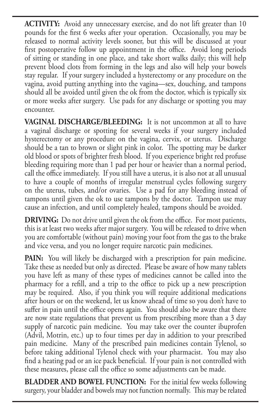**ACTIVITY:** Avoid any unnecessary exercise, and do not lift greater than 10 pounds for the first 6 weeks after your operation. Occasionally, you may be released to normal activity levels sooner, but this will be discussed at your first postoperative follow up appointment in the office. Avoid long periods of sitting or standing in one place, and take short walks daily; this will help prevent blood clots from forming in the legs and also will help your bowels stay regular. If your surgery included a hysterectomy or any procedure on the vagina, avoid putting anything into the vagina—sex, douching, and tampons should all be avoided until given the ok from the doctor, which is typically six or more weeks after surgery. Use pads for any discharge or spotting you may encounter.

**VAGINAL DISCHARGE/BLEEDING:** It is not uncommon at all to have a vaginal discharge or spotting for several weeks if your surgery included hysterectomy or any procedure on the vagina, cervix, or uterus. Discharge should be a tan to brown or slight pink in color. The spotting may be darker old blood or spots of brighter fresh blood. If you experience bright red profuse bleeding requiring more than 1 pad per hour or heavier than a normal period, call the office immediately. If you still have a uterus, it is also not at all unusual to have a couple of months of irregular menstrual cycles following surgery on the uterus, tubes, and/or ovaries. Use a pad for any bleeding instead of tampons until given the ok to use tampons by the doctor. Tampon use may cause an infection, and until completely healed, tampons should be avoided.

**DRIVING:** Do not drive until given the ok from the office. For most patients, this is at least two weeks after major surgery. You will be released to drive when you are comfortable (without pain) moving your foot from the gas to the brake and vice versa, and you no longer require narcotic pain medicines.

PAIN: You will likely be discharged with a prescription for pain medicine. Take these as needed but only as directed. Please be aware of how many tablets you have left as many of these types of medicines cannot be called into the pharmacy for a refill, and a trip to the office to pick up a new prescription may be required. Also, if you think you will require additional medications after hours or on the weekend, let us know ahead of time so you don't have to suffer in pain until the office opens again. You should also be aware that there are now state regulations that prevent us from prescribing more than a 3 day supply of narcotic pain medicine. You may take over the counter ibuprofen (Advil, Motrin, etc.) up to four times per day in addition to your prescribed pain medicine. Many of the prescribed pain medicines contain Tylenol, so before taking additional Tylenol check with your pharmacist. You may also find a heating pad or an ice pack beneficial. If your pain is not controlled with these measures, please call the office so some adjustments can be made.

**BLADDER AND BOWEL FUNCTION:** For the initial few weeks following surgery, your bladder and bowels may not function normally. This may be related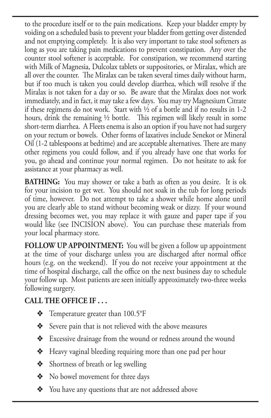to the procedure itself or to the pain medications. Keep your bladder empty by voiding on a scheduled basis to prevent your bladder from getting over distended and not emptying completely. It is also very important to take stool softeners as long as you are taking pain medications to prevent constipation. Any over the counter stool softener is acceptable. For constipation, we recommend starting with Milk of Magnesia, Dulcolax tablets or suppositories, or Miralax, which are all over the counter. The Miralax can be taken several times daily without harm, but if too much is taken you could develop diarrhea, which will resolve if the Miralax is not taken for a day or so. Be aware that the Miralax does not work immediately, and in fact, it may take a few days. You may try Magnesium Citrate if these regimens do not work. Start with ½ of a bottle and if no results in 1-2 hours, drink the remaining ½ bottle. This regimen will likely result in some short-term diarrhea. A Fleets enema is also an option if you have not had surgery on your rectum or bowels. Other forms of laxatives include Senekot or Mineral Oil (1-2 tablespoons at bedtime) and are acceptable alternatives. There are many other regimens you could follow, and if you already have one that works for you, go ahead and continue your normal regimen. Do not hesitate to ask for assistance at your pharmacy as well.

**BATHING:** You may shower or take a bath as often as you desire. It is ok for your incision to get wet. You should not soak in the tub for long periods of time, however. Do not attempt to take a shower while home alone until you are clearly able to stand without becoming weak or dizzy. If your wound dressing becomes wet, you may replace it with gauze and paper tape if you would like (see INCISION above). You can purchase these materials from your local pharmacy store.

**FOLLOW UP APPOINTMENT:** You will be given a follow up appointment at the time of your discharge unless you are discharged after normal office hours (e.g. on the weekend). If you do not receive your appointment at the time of hospital discharge, call the office on the next business day to schedule your follow up. Most patients are seen initially approximately two-three weeks following surgery.

## **CALL THE OFFICE IF . . .**

- $\div$  Temperature greater than 100.5°F
- $\triangleleft$  Severe pain that is not relieved with the above measures
- v Excessive drainage from the wound or redness around the wound
- $\triangleleft$  Heavy vaginal bleeding requiring more than one pad per hour
- $\triangleleft$  Shortness of breath or leg swelling
- ◆ No bowel movement for three days
- $\triangleleft$  You have any questions that are not addressed above